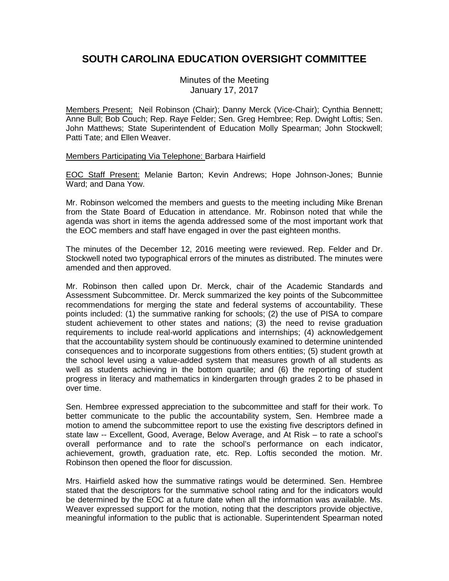## **SOUTH CAROLINA EDUCATION OVERSIGHT COMMITTEE**

Minutes of the Meeting January 17, 2017

Members Present: Neil Robinson (Chair); Danny Merck (Vice-Chair); Cynthia Bennett; Anne Bull; Bob Couch; Rep. Raye Felder; Sen. Greg Hembree; Rep. Dwight Loftis; Sen. John Matthews; State Superintendent of Education Molly Spearman; John Stockwell; Patti Tate; and Ellen Weaver.

## Members Participating Via Telephone: Barbara Hairfield

EOC Staff Present: Melanie Barton; Kevin Andrews; Hope Johnson-Jones; Bunnie Ward; and Dana Yow.

Mr. Robinson welcomed the members and guests to the meeting including Mike Brenan from the State Board of Education in attendance. Mr. Robinson noted that while the agenda was short in items the agenda addressed some of the most important work that the EOC members and staff have engaged in over the past eighteen months.

The minutes of the December 12, 2016 meeting were reviewed. Rep. Felder and Dr. Stockwell noted two typographical errors of the minutes as distributed. The minutes were amended and then approved.

Mr. Robinson then called upon Dr. Merck, chair of the Academic Standards and Assessment Subcommittee. Dr. Merck summarized the key points of the Subcommittee recommendations for merging the state and federal systems of accountability. These points included: (1) the summative ranking for schools; (2) the use of PISA to compare student achievement to other states and nations; (3) the need to revise graduation requirements to include real-world applications and internships; (4) acknowledgement that the accountability system should be continuously examined to determine unintended consequences and to incorporate suggestions from others entities; (5) student growth at the school level using a value-added system that measures growth of all students as well as students achieving in the bottom quartile; and (6) the reporting of student progress in literacy and mathematics in kindergarten through grades 2 to be phased in over time.

Sen. Hembree expressed appreciation to the subcommittee and staff for their work. To better communicate to the public the accountability system, Sen. Hembree made a motion to amend the subcommittee report to use the existing five descriptors defined in state law -- Excellent, Good, Average, Below Average, and At Risk – to rate a school's overall performance and to rate the school's performance on each indicator, achievement, growth, graduation rate, etc. Rep. Loftis seconded the motion. Mr. Robinson then opened the floor for discussion.

Mrs. Hairfield asked how the summative ratings would be determined. Sen. Hembree stated that the descriptors for the summative school rating and for the indicators would be determined by the EOC at a future date when all the information was available. Ms. Weaver expressed support for the motion, noting that the descriptors provide objective, meaningful information to the public that is actionable. Superintendent Spearman noted